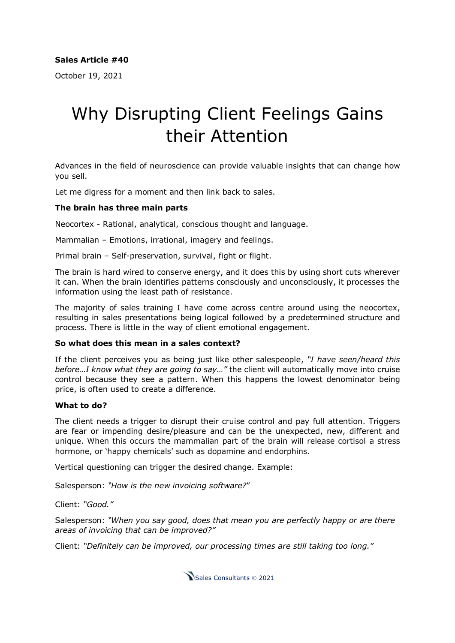October 19, 2021

## Why Disrupting Client Feelings Gains their Attention

Advances in the field of neuroscience can provide valuable insights that can change how you sell.

Let me digress for a moment and then link back to sales.

## **The brain has three main parts**

Neocortex - Rational, analytical, conscious thought and language.

Mammalian – Emotions, irrational, imagery and feelings.

Primal brain – Self-preservation, survival, fight or flight.

The brain is hard wired to conserve energy, and it does this by using short cuts wherever it can. When the brain identifies patterns consciously and unconsciously, it processes the information using the least path of resistance.

The majority of sales training I have come across centre around using the neocortex, resulting in sales presentations being logical followed by a predetermined structure and process. There is little in the way of client emotional engagement.

## **So what does this mean in a sales context?**

If the client perceives you as being just like other salespeople, *"I have seen/heard this before…I know what they are going to say…"* the client will automatically move into cruise control because they see a pattern. When this happens the lowest denominator being price, is often used to create a difference.

## **What to do?**

The client needs a trigger to disrupt their cruise control and pay full attention. Triggers are fear or impending desire/pleasure and can be the unexpected, new, different and unique. When this occurs the mammalian part of the brain will release cortisol a stress hormone, or 'happy chemicals' such as dopamine and endorphins.

Vertical questioning can trigger the desired change. Example:

Salesperson: *"How is the new invoicing software?*"

Client: *"Good."*

Salesperson: *"When you say good, does that mean you are perfectly happy or are there areas of invoicing that can be improved?"*

Client: *"Definitely can be improved, our processing times are still taking too long."*